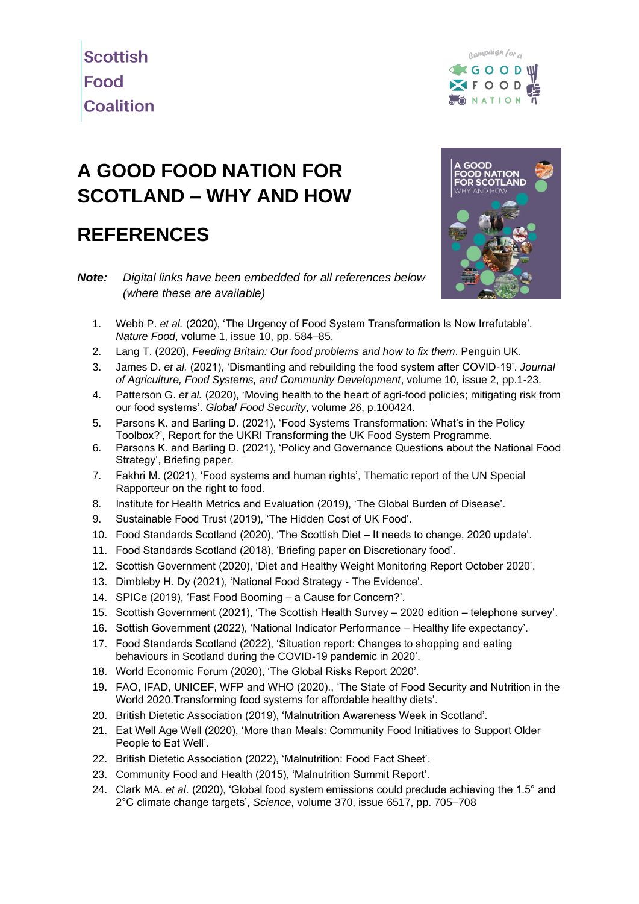



## **A GOOD FOOD NATION FOR SCOTLAND – WHY AND HOW**

## **REFERENCES**

*Note: Digital links have been embedded for all references below (where these are available)*



- 1. Webb P. *et al.* [\(2020\), 'The Urgency of Food System Transformation Is Now Irrefutable'.](https://doi.org/10.1038/s43016-020-00161-0)  *Nature Food*[, volume 1, issue 10, pp. 584–85.](https://doi.org/10.1038/s43016-020-00161-0)
- 2. Lang T. (2020), *Feeding Britain: Our food problems and how to fix them*. Penguin UK.
- 3. James D. *et al.* [\(2021\), 'Dismantling and rebuilding the food system after COVID-19'.](https://doi.org/10.5304/jafscd.2021.102.019) *Journal [of Agriculture, Food Systems, and Community Development](https://doi.org/10.5304/jafscd.2021.102.019)*, volume 10, issue 2, pp.1-23.
- 4. Patterson G. *et al.* [\(2020\), 'Moving health to the heart of agri-food policies; mitigating risk from](https://doi.org/10.1016/j.gfs.2020.100424)  our food systems'. *[Global Food Security](https://doi.org/10.1016/j.gfs.2020.100424)*, volume *26*, p.100424.
- 5. [Parsons K. and Barling D. \(2021\), 'Food Systems Transformation: What's in the Policy](https://www.foodsecurity.ac.uk/research/foodsystems-spf/outputs/)  [Toolbox?', Report for the UKRI Transforming the UK Food System Programme.](https://www.foodsecurity.ac.uk/research/foodsystems-spf/outputs/)
- 6. [Parsons K. and Barling D. \(2021\), 'Policy and Governance Questions about the National Food](https://uhra.herts.ac.uk/handle/2299/24812)  [Strategy', Briefing paper.](https://uhra.herts.ac.uk/handle/2299/24812)
- 7. [Fakhri M. \(2021\), 'Food systems and human rights', Thematic report of the UN Special](https://undocs.org/A/76/237)  [Rapporteur on the right to food.](https://undocs.org/A/76/237)
- 8. [Institute for Health Metrics and Evaluation \(2019\), 'The Global Burden of Disease'.](https://www.healthdata.org/gbd/2019)
- 9. [Sustainable Food Trust \(2019\), 'The Hidden Cost of UK Food'.](https://sustainablefoodtrust.org/articles/hidden-cost-uk-food/)
- 10. [Food Standards Scotland \(2020\), 'The Scottish Diet –](https://www.foodstandards.gov.scot/publications-and-research/publications/the-scottish-diet-it-needs-to-change-2020-update) It needs to change, 2020 update'.
- 11. [Food Standards Scotland \(2018\), 'Briefing paper on Discretionary food'.](https://www.foodstandards.gov.scot/publications-and-research/publications/briefing-on-discretionary-foods)
- 12. [Scottish Government \(2020\), 'Diet and Healthy Weight Monitoring Report October 2020'.](https://www.gov.scot/publications/diet-healthy-weight-monitoring-report-2020/)
- 13. [Dimbleby H. Dy \(2021\), 'National Food Strategy -](https://www.nationalfoodstrategy.org/the-report/) The Evidence'.
- 14. [SPICe \(2019\), 'Fast Food Booming –](https://spice-spotlight.scot/2019/08/07/fast-food-booming-a-cause-for-concern/) a Cause for Concern?'.
- 15. [Scottish Government \(2021\), 'The Scottish Health Survey –](https://www.gov.scot/publications/scottish-health-survey-telephone-survey-august-september-2020-main-report/) 2020 edition telephone survey'.
- 16. [Sottish Government \(2022\), 'National Indicator Performance –](https://nationalperformance.gov.scot/measuring-progress/national-indicator-performance) Healthy life expectancy'.
- 17. [Food Standards Scotland \(2022\), 'Situation report: Changes to shopping and eating](https://www.foodstandards.gov.scot/publications-and-research/publications/situation-report-changes-to-shopping-and-eating-behaviours-in-scotland-during-the-covid-19-pandemic-in-2020)  [behaviours in Scotland during the COVID-19 pandemic in 2020'.](https://www.foodstandards.gov.scot/publications-and-research/publications/situation-report-changes-to-shopping-and-eating-behaviours-in-scotland-during-the-covid-19-pandemic-in-2020)
- 18. [World Economic Forum \(2020\), 'The Global Risks Report 2020'.](https://www.weforum.org/reports/the-global-risks-report-2020)
- 19. [FAO, IFAD, UNICEF, WFP and WHO \(2020\)., 'The State of Food Security and Nutrition in the](https://www.fao.org/policy-support/tools-and-publications/resources-details/en/c/1298217/)  [World 2020.Transforming food systems for affordable healthy diets'.](https://www.fao.org/policy-support/tools-and-publications/resources-details/en/c/1298217/)
- 20. [British Dietetic Association \(2019\), 'Malnutrition Awareness Week in Scotland'.](https://www.bda.uk.com/resource/malnutrition-awareness-week-in-scotland.html)
- 21. [Eat Well Age Well \(2020\), 'More than Meals: Community Food Initiatives to Support Older](https://www.eatwellagewell.org.uk/images/SIBIMoreThanMealsReport.pdf)  [People to Eat Well'.](https://www.eatwellagewell.org.uk/images/SIBIMoreThanMealsReport.pdf)
- 22. [British Dietetic Association \(2022\), 'Malnutrition: Food Fact Sheet'.](https://www.bda.uk.com/resource/malnutrition.html)
- 23. [Community Food and Health \(2015\), 'Malnutrition Summit Report'.](https://www.communityfoodandhealth.org.uk/publications/malnutrition-summit-report-2/)
- 24. Clark MA. *et al*[. \(2020\), 'Global food system emissions could preclude achieving the 1.5° and](https://doi.org/10.1126/science.aba7357)  2°C climate change targets', *Science*[, volume 370, issue 6517, pp. 705–708](https://doi.org/10.1126/science.aba7357)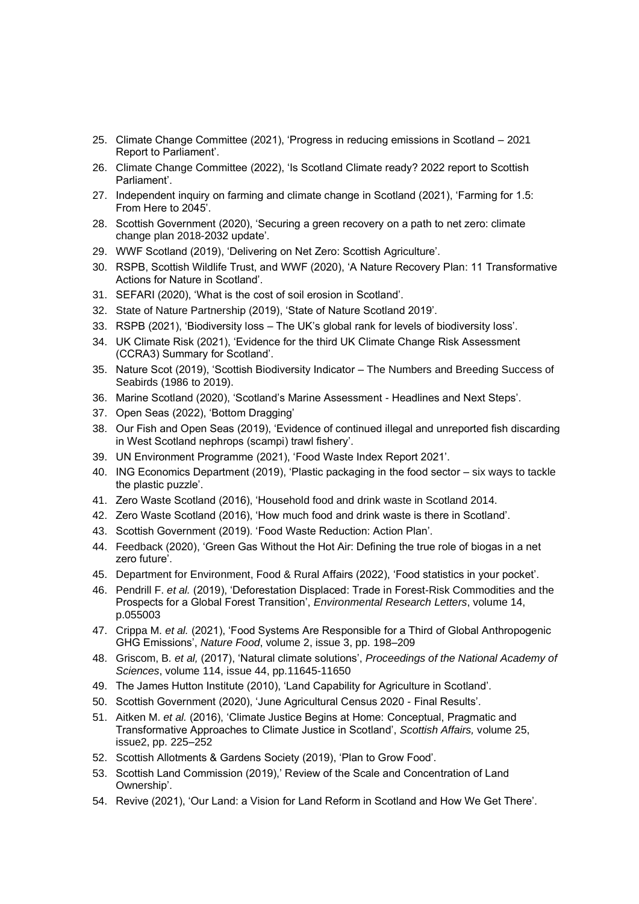- 25. [Climate Change Committee \(2021\), 'Progress in reducing emissions in Scotland –](https://www.theccc.org.uk/publication/progress-reducing-emissions-in-scotland-2021-report-to-parliament/) 2021 [Report to Parliament'.](https://www.theccc.org.uk/publication/progress-reducing-emissions-in-scotland-2021-report-to-parliament/)
- 26. [Climate Change Committee \(2022\), 'Is Scotland Climate ready? 2022 report to Scottish](https://www.theccc.org.uk/publication/is-scotland-climate-ready-2022-report-to-scottish-parliament/)  [Parliament'.](https://www.theccc.org.uk/publication/is-scotland-climate-ready-2022-report-to-scottish-parliament/)
- 27. [Independent inquiry on farming and climate change in Scotland \(2021\), 'Farming for 1.5:](https://www.farming1point5.org/reports)  [From Here to 2045'.](https://www.farming1point5.org/reports)
- 28. [Scottish Government \(2020\), 'Securing a green recovery on a path to net zero: climate](https://www.gov.scot/publications/securing-green-recovery-path-net-zero-update-climate-change-plan-20182032/)  [change plan 2018-2032 update'.](https://www.gov.scot/publications/securing-green-recovery-path-net-zero-update-climate-change-plan-20182032/)
- 29. [WWF Scotland \(2019\), 'Delivering on Net Zero: Scottish Agriculture'.](https://www.wwf.org.uk/sites/default/files/2019-12/WWF%20Net%20Zero%20and%20Farming.pdf)
- 30. [RSPB, Scottish Wildlife Trust, and WWF \(2020\), 'A Nature Recovery Plan: 11 Transformative](https://www.rspb.org.uk/globalassets/downloads/nature-recovery-plan---scotland/nature-recovery-plan.pdf)  [Actions for Nature in Scotland'.](https://www.rspb.org.uk/globalassets/downloads/nature-recovery-plan---scotland/nature-recovery-plan.pdf)
- 31. [SEFARI \(2020\), 'What is the cost of soil erosion in Scotland'.](https://sefari.scot/research/what-is-the-cost-of-soil-erosion-in-scotland)
- 32. [State of Nature Partnership \(2019\), 'State of Nature Scotland 2019'.](https://www.nature.scot/doc/state-nature-scotland-report-2019)
- 33. RSPB (2021), 'Biodiversity loss [The UK's global rank for levels of biodiversity loss'.](https://www.rspb.org.uk/globalassets/downloads/about-us/48398rspb-biodivesity-intactness-index-summary-report-v4.pdf)
- 34. [UK Climate Risk \(2021\), 'Evidence for the third UK Climate Change Risk Assessment](https://www.ukclimaterisk.org/wp-content/uploads/2021/06/CCRA-Evidence-Report-Scotland-Summary-Final-1.pdf)  [\(CCRA3\) Summary for Scotland'.](https://www.ukclimaterisk.org/wp-content/uploads/2021/06/CCRA-Evidence-Report-Scotland-Summary-Final-1.pdf)
- 35. [Nature Scot \(2019\), 'Scottish Biodiversity Indicator –](https://www.nature.scot/doc/scottish-biodiversity-indicator-numbers-and-breeding-success-seabirds-1986-2019) The Numbers and Breeding Success of [Seabirds \(1986 to 2019\).](https://www.nature.scot/doc/scottish-biodiversity-indicator-numbers-and-breeding-success-seabirds-1986-2019)
- 36. [Marine Scotland \(2020\), 'Scotland's Marine Assessment -](https://marine.gov.scot/sma/sites/default/files/hns_00_full_version.pdf) Headlines and Next Steps'.
- 37. [Open Seas \(2022\), 'Bottom Dragging'](https://www.openseas.org.uk/evidence/)
- 38. [Our Fish and Open Seas \(2019\), 'Evidence of continued illegal and unreported fish discarding](https://our.fish/wp-content/uploads/2019/11/OpenSeas_Discard_Dossier_2019_FINALweb-1.pdf)  [in West Scotland nephrops \(scampi\) trawl fishery'.](https://our.fish/wp-content/uploads/2019/11/OpenSeas_Discard_Dossier_2019_FINALweb-1.pdf)
- 39. [UN Environment Programme \(2021\), 'Food Waste Index Report 2021'.](https://www.unep.org/resources/report/unep-food-waste-index-report-2021)
- 40. [ING Economics Department \(2019\), 'Plastic packaging in the food sector –](https://think.ing.com/reports/plastic-packaging-in-the-food-sector-six-ways-to-tackle-the-plastic-puzzle/) six ways to tackle [the plastic puzzle'.](https://think.ing.com/reports/plastic-packaging-in-the-food-sector-six-ways-to-tackle-the-plastic-puzzle/)
- 41. [Zero Waste Scotland \(2016\), 'Household food and drink waste in Scotland 2014.](https://www.zerowastescotland.org.uk/content/how-much-food-waste-there-scotland)
- 42. [Zero Waste Scotland \(2016\), 'How much food and drink waste is there in Scotland'.](https://www.zerowastescotland.org.uk/content/how-much-food-waste-there-scotland)
- 43. [Scottish Government \(2019\). 'Food Waste Reduction: Action Plan'.](https://www.gov.scot/publications/food-waste-reduction-action-plan/)
- 44. [Feedback \(2020\), 'Green Gas Without the Hot Air: Defining the true role of biogas in a net](https://feedbackglobal.org/wp-content/uploads/2021/07/Feedback-2020-Green-Gas-Without-the-Hot-Air-Exec-Summary.pdf)  [zero future'.](https://feedbackglobal.org/wp-content/uploads/2021/07/Feedback-2020-Green-Gas-Without-the-Hot-Air-Exec-Summary.pdf)
- 45. [Department for Environment, Food & Rural Affairs \(2022\), 'Food statistics in your pocket'.](https://www.gov.uk/government/statistics/food-statistics-pocketbook/food-statistics-in-your-pocket)
- 46. Pendrill F. *et al.* [\(2019\), 'Deforestation Displaced: Trade in Forest-Risk Commodities and the](https://doi.org/10.1088/1748-9326/ab0d41)  [Prospects for a Global Forest Transition',](https://doi.org/10.1088/1748-9326/ab0d41) *Environmental Research Letters*, volume 14, [p.055003](https://doi.org/10.1088/1748-9326/ab0d41)
- 47. Crippa M. *et al.* [\(2021\), 'Food Systems Are Responsible for a Third of Global Anthropogenic](https://doi.org/10.1038/s43016-021-00225-9)  GHG Emissions', *Nature Food*[, volume 2, issue 3, pp. 198–209](https://doi.org/10.1038/s43016-021-00225-9)
- 48. Griscom, B*. et al,* (2017), 'Natural climate solutions', *[Proceedings of the National Academy of](https://doi.org/10.1073/pnas.1710465114)  Sciences*[, volume 114, issue 44, pp.11645-11650](https://doi.org/10.1073/pnas.1710465114)
- 49. [The James Hutton Institute \(2010\), 'Land Capability for Agriculture in Scotland'.](https://www.hutton.ac.uk/learning/exploringscotland/land-capability-agriculture-scotland)
- 50. [Scottish Government \(2020\), 'June Agricultural Census 2020 -](http://www.gov.scot/publications/scottish-agricultural-census-final-results-june-2020/) Final Results'.
- 51. Aitken M. *et al.* [\(2016\), 'Climate Justice Begins at Home: Conceptual, Pragmatic and](https://doi.org/10.3366/scot.2016.0128)  [Transformative Approaches to Climate Justice in Scotland',](https://doi.org/10.3366/scot.2016.0128) *Scottish Affairs,* volume 25, [issue2, pp. 225–252](https://doi.org/10.3366/scot.2016.0128)
- 52. [Scottish Allotments & Gardens Society \(2019\), 'Plan to Grow Food'.](https://www.scottishallotments.org/publications)
- 53. [Scottish Land Commission \(2019\),' Review of the Scale and Concentration of Land](https://www.landcommission.gov.scot/our-work/ownership/scale-and-concentration-of-land-ownership)  [Ownership'.](https://www.landcommission.gov.scot/our-work/ownership/scale-and-concentration-of-land-ownership)
- 54. Revive (2021), 'Our Land: a [Vision for Land Reform in Scotland and How We Get There'.](https://revive.scot/publication/our-land-a-vision-for-land-reform-in-scotland-and-how-we-get-there/)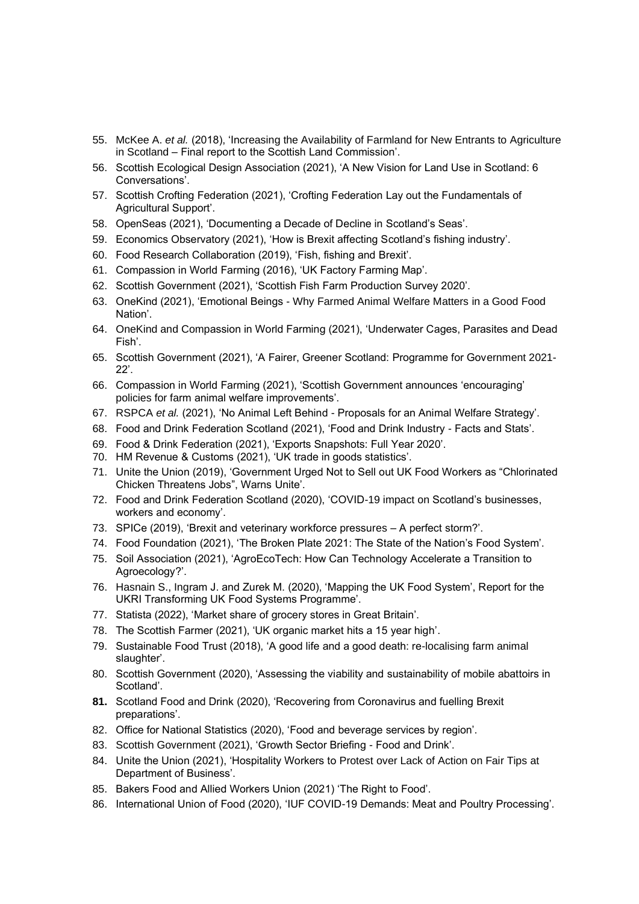- 55. McKee A. *et al.* [\(2018\), 'Increasing the Availability of Farmland for New Entrants to Agriculture](https://www.landcommission.gov.scot/downloads/5dd6a2d2ac866_McKee-et-al.-Final-report-to-SLC-Increasing-land-availability-for-new-entrants-2.5.2018.pdf)  in Scotland – [Final report to the Scottish Land Commission'.](https://www.landcommission.gov.scot/downloads/5dd6a2d2ac866_McKee-et-al.-Final-report-to-SLC-Increasing-land-availability-for-new-entrants-2.5.2018.pdf)
- 56. [Scottish Ecological Design Association \(2021\), 'A New Vision for Land Use in Scotland: 6](https://www.sruc.ac.uk/all-news/a-new-vision-for-land-use-in-scotland-six-conversations/)  [Conversations'.](https://www.sruc.ac.uk/all-news/a-new-vision-for-land-use-in-scotland-six-conversations/)
- 57. [Scottish Crofting Federation \(2021\), 'Crofting Federation Lay out the Fundamentals of](https://www.crofting.org/wp-content/uploads/2021/08/fundamentals-of-agricultural-support-WEB.pdf)  [Agricultural Support'.](https://www.crofting.org/wp-content/uploads/2021/08/fundamentals-of-agricultural-support-WEB.pdf)
- 58. [OpenSeas \(2021\), 'Documenting a Decade of Decline in Scotland's Seas'.](https://www.openseas.org.uk/news/documenting-a-decade-of-decline-in-scotlands-seas/)
- 59. [Economics Observatory \(2021\), 'How is Brexit affecting Scotland's fishing industry'.](https://www.economicsobservatory.com/how-is-brexit-affecting-scotlands-fishing-industry)
- 60. [Food Research Collaboration \(2019\), 'Fish, fishing and Brexit'.](https://foodresearch.org.uk/publications/fish/)
- 61. [Compassion in World Farming \(2016\), 'UK Factory Farming Map'.](https://www.ciwf.org.uk/factory-farm-map/)
- 62. [Scottish Government \(2021\), 'Scottish Fish Farm Production Survey 2020'.](http://www.gov.scot/publications/scottish-fish-farm-production-survey-2020/)
- 63. OneKind (2021), 'Emotional Beings [Why Farmed Animal Welfare Matters in a Good Food](https://www.onekind.scot/resources/emotional-beings-why-farmed-animal-welfare-matters-in-a-good-food-nation/)  [Nation'.](https://www.onekind.scot/resources/emotional-beings-why-farmed-animal-welfare-matters-in-a-good-food-nation/)
- 64. [OneKind and Compassion in World Farming \(2021\), 'Underwater Cages, Parasites and Dead](https://www.onekind.scot/resources/underwater-cages-parasites-and-dead-fish/)  [Fish'.](https://www.onekind.scot/resources/underwater-cages-parasites-and-dead-fish/)
- 65. [Scottish Government \(2021\), 'A Fairer, Greener Scotland: Programme for Government 2021-](https://www.gov.scot/publications/fairer-greener-scotland-programme-government-2021-22/) [22'.](https://www.gov.scot/publications/fairer-greener-scotland-programme-government-2021-22/)
- 66. [Compassion in World Farming \(2021\), 'Scottish Government announces 'encouraging'](https://www.ciwf.org.uk/news/2021/09/scottish-government-announces-encouraging-policies-for-farm-animal-welfare-improvements)  [policies for farm animal welfare improvements'.](https://www.ciwf.org.uk/news/2021/09/scottish-government-announces-encouraging-policies-for-farm-animal-welfare-improvements)
- 67. RSPCA *et al.* (2021), 'No Animal Left Behind [Proposals for an Animal Welfare Strategy'.](https://view.pagetiger.com/actnowforanimals/1)
- 68. [Food and Drink Federation Scotland \(2021\), 'Food and Drink Industry -](https://www.fdfscotland.org.uk/fdf/business-insights-and-economics/facts-and-stats/) Facts and Stats'.
- 69. [Food & Drink Federation \(2021\), 'Exports Snapshots: Full Year 2020'.](https://www.fdf.org.uk/fdf/resources/publications/trade-reports/exports-full-year-2020/)
- 70. [HM Revenue & Customs \(2021\), 'UK](https://www.gov.uk/government/collections/uk-overseas-trade-statistics-and-regional-trade-statistics) trade in goods statistics'.
- 71. [Unite the Union \(2019\), 'Government Urged Not to Sell out UK Food Workers as "Chlorinated](https://www.unitetheunion.org/news-events/news/2019/august/government-urged-not-to-sell-out-uk-food-workers-as-chlorinated-chicken-threatens-jobs-warns-unite/)  [Chicken Threatens Jobs", Warns Unite'.](https://www.unitetheunion.org/news-events/news/2019/august/government-urged-not-to-sell-out-uk-food-workers-as-chlorinated-chicken-threatens-jobs-warns-unite/)
- 72. [Food and Drink Federation Scotland \(2020\), 'COVID-19 impact on](https://archive2021.parliament.scot/S5_EconomyJobsFairWork/Inquiries/EEFW-S5-20-COVID-44-FDFS.pdf) Scotland's businesses, [workers and economy'.](https://archive2021.parliament.scot/S5_EconomyJobsFairWork/Inquiries/EEFW-S5-20-COVID-44-FDFS.pdf)
- 73. [SPICe \(2019\), 'Brexit and veterinary workforce pressures –](https://digitalpublications.parliament.scot/ResearchBriefings/Report/2019/5/30/Brexit-and-veterinary-workforce-pressures---A-perfect-storm-) A perfect storm?'.
- 74. [Food Foundation \(2021\), 'The Broken Plate 2021: The State of the Nation's Food System'.](https://foodfoundation.org.uk/publication/broken-plate-2021)
- 75. [Soil Association \(2021\), 'AgroEcoTech: How Can Technology Accelerate a Transition to](https://www.soilassociation.org/media/22821/agroecotech-soil-association-report.pdf)  [Agroecology?'.](https://www.soilassociation.org/media/22821/agroecotech-soil-association-report.pdf)
- 76. [Hasnain S., Ingram J. and Zurek M. \(2020\), 'Mapping the UK Food System', Report for the](https://www.eci.ox.ac.uk/research/food/downloads/Mapping-the-UK-food-system-digital.pdf)  [UKRI Transforming UK Food Systems Programme'.](https://www.eci.ox.ac.uk/research/food/downloads/Mapping-the-UK-food-system-digital.pdf)
- 77. Statista (2022), 'Market share [of grocery stores in Great Britain'.](https://www.statista.com/statistics/280208/grocery-market-share-in-the-united-kingdom-uk)
- 78. [The Scottish Farmer \(2021\), 'UK organic market hits a 15 year high'.](https://www.thescottishfarmer.co.uk/news/19083761.uk-organic-market-hits-15-year-high/)
- 79. [Sustainable Food Trust \(2018\), 'A good life and a good death: re-localising farm animal](https://sustainablefoodtrust.org/wp-content/uploads/2013/04/Re-localising-farm-animal-slaughter.pdf)  [slaughter'.](https://sustainablefoodtrust.org/wp-content/uploads/2013/04/Re-localising-farm-animal-slaughter.pdf)
- 80. [Scottish Government \(2020\), 'Assessing the viability and sustainability of mobile abattoirs in](https://www.gov.scot/publications/assessing-viability-sustainability-mobile-abattoirs-scotland/)  [Scotland'.](https://www.gov.scot/publications/assessing-viability-sustainability-mobile-abattoirs-scotland/)
- **81.** [Scotland Food and Drink \(2020\), 'Recovering from Coronavirus and fuelling Brexit](https://foodanddrink.scot/resources/publications/a-plan-for-smart-recovery/)  [preparations'.](https://foodanddrink.scot/resources/publications/a-plan-for-smart-recovery/)
- 82. [Office for National Statistics \(2020\), 'Food and beverage services by region'.](https://www.ons.gov.uk/businessindustryandtrade/business/activitysizeandlocation/adhocs/11906foodandbeverageservicesbyregion)
- 83. [Scottish Government \(2021\),](https://www.gov.scot/publications/growth-sector-statistics/) 'Growth Sector Briefing Food and Drink'.
- 84. [Unite the Union \(2021\), 'Hospitality Workers to](https://www.unitetheunion.org/news-events/news/2021/july/hospitality-workers-to-protest-over-lack-of-action-on-fair-tips-at-department-of-business/) Protest over Lack of Action on Fair Tips at [Department of Business'.](https://www.unitetheunion.org/news-events/news/2021/july/hospitality-workers-to-protest-over-lack-of-action-on-fair-tips-at-department-of-business/)
- 85. [Bakers Food and Allied Workers Union \(2021\) 'The Right to Food'.](https://www.bfawu.org/wp-content/uploads/2021/09/BFAWU-Right-to-Food-Report.pdf)
- 86. [International Union of Food \(2020\), 'IUF COVID-19 Demands: Meat and Poultry Processing'.](https://www.iuf.org/news/iuf-COVID-19-demands-meat-and-poultry-processing/)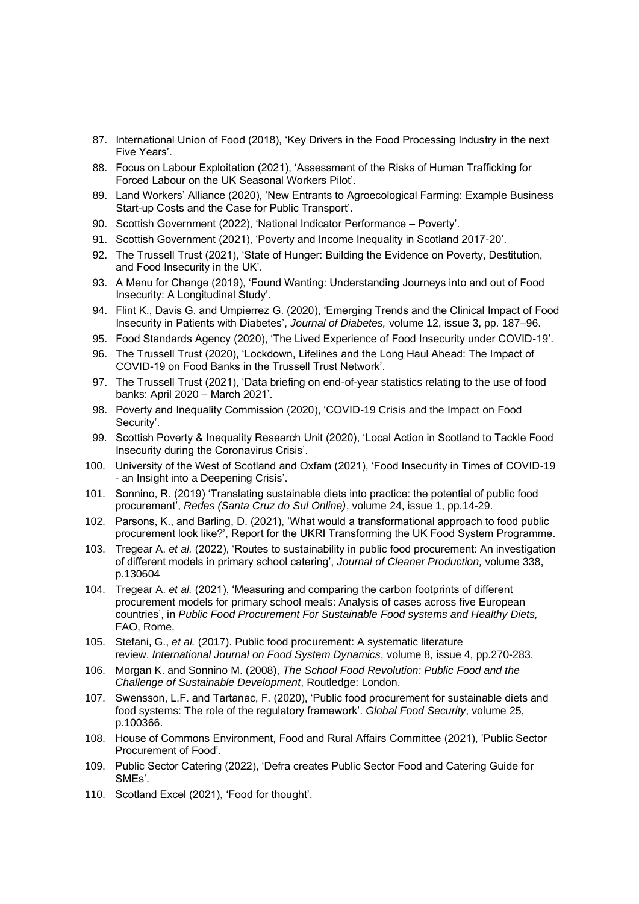- 87. [International Union of Food \(2018\), 'Key Drivers in the Food Processing Industry in the next](https://www.iuf.org/publications/2018-key-drivers-in-the-food-processing-industry-in-the-next-five-years/)  [Five Years'.](https://www.iuf.org/publications/2018-key-drivers-in-the-food-processing-industry-in-the-next-five-years/)
- 88. [Focus on Labour Exploitation \(2021\), 'Assessment of the Risks of Human Trafficking for](https://www.labourexploitation.org/publications/assessment-risks-human-trafficking-forced-labour-uk-seasonal-workers-pilot)  [Forced Labour on the UK Seasonal Workers Pilot'.](https://www.labourexploitation.org/publications/assessment-risks-human-trafficking-forced-labour-uk-seasonal-workers-pilot)
- 89. [Land Workers' Alliance \(2020\), 'New Entrants to Agroecological Farming: Example Business](https://landworkersalliance.org.uk/wp-content/uploads/2021/05/New-entrants-costs-website.pdf)  [Start-up Costs and the Case for Public Transport'.](https://landworkersalliance.org.uk/wp-content/uploads/2021/05/New-entrants-costs-website.pdf)
- 90. [Scottish Government \(2022\), 'National Indicator Performance –](https://nationalperformance.gov.scot/measuring-progress/national-indicator-performance) Poverty'.
- 91. [Scottish Government \(2021\), 'Poverty and Income Inequality in Scotland 2017-20'.](https://www.gov.scot/publications/poverty-and-income-inequality-in-scotland-2017-20/)
- 92. [The Trussell Trust \(2021\), 'State of Hunger: Building the Evidence on Poverty, Destitution,](https://www.trusselltrust.org/wp-content/uploads/sites/2/2021/05/State-of-Hunger-2021-Report-Final.pdf)  [and Food Insecurity in the UK'.](https://www.trusselltrust.org/wp-content/uploads/sites/2/2021/05/State-of-Hunger-2021-Report-Final.pdf)
- 93. [A Menu for Change \(2019\), 'Found Wanting: Understanding Journeys into and out of Food](https://amenuforchange.files.wordpress.com/2020/01/found-wanting-a-menu-for-change-final.pdf)  [Insecurity: A Longitudinal Study'.](https://amenuforchange.files.wordpress.com/2020/01/found-wanting-a-menu-for-change-final.pdf)
- 94. [Flint K., Davis G. and Umpierrez G. \(2020\), 'Emerging Trends and the Clinical Impact of Food](https://doi.org/10.1111/1753-0407.12992)  [Insecurity in Patients with Diabetes',](https://doi.org/10.1111/1753-0407.12992) *Journal of Diabetes,* volume 12, issue 3, pp. 187–96.
- 95. [Food Standards Agency \(2020\), 'The Lived Experience of Food Insecurity under COVID-19'.](https://www.food.gov.uk/research/research-projects/the-COVID-19-consumer-research)
- 96. [The Trussell Trust \(2020\), 'Lockdown, Lifelines and the Long Haul Ahead: The Impact of](https://www.trusselltrust.org/wp-content/uploads/sites/2/2020/09/the-impact-of-COVID-19-on-food-banks-report.pdf)  [COVID-19 on Food Banks in the Trussell Trust Network'.](https://www.trusselltrust.org/wp-content/uploads/sites/2/2020/09/the-impact-of-COVID-19-on-food-banks-report.pdf)
- 97. [The Trussell Trust \(2021\), 'Data briefing on end-of-year statistics relating to the use of food](https://www.trusselltrust.org/wp-content/uploads/sites/2/2021/04/Trusell-Trust-End-of-Year-stats-data-briefing_2020_21.pdf)  [banks: April 2020 –](https://www.trusselltrust.org/wp-content/uploads/sites/2/2021/04/Trusell-Trust-End-of-Year-stats-data-briefing_2020_21.pdf) March 2021'.
- 98. [Poverty and Inequality Commission \(2020\), 'COVID-19 Crisis and the Impact on Food](https://povertyinequality.scot/publication/COVID-19-food-insecurity-briefing/)  [Security'.](https://povertyinequality.scot/publication/COVID-19-food-insecurity-briefing/)
- 99. [Scottish Poverty & Inequality Research Unit \(2020\), 'Local Action in Scotland to Tackle Food](https://povertyinequality.scot/publication/local-action-to-tackle-food-insecurity-during-the-coronavirus-crisis/)  [Insecurity during the Coronavirus Crisis'.](https://povertyinequality.scot/publication/local-action-to-tackle-food-insecurity-during-the-coronavirus-crisis/)
- 100. [University of the West of Scotland and Oxfam \(2021\), 'Food Insecurity in Times of COVID-19](https://uwsoxfampartnership.org.uk/wp-content/uploads/2021/04/Food-insecurity-in-times-of-COVID-19-2021-WEB-FINAL.pdf)  - [an Insight into a Deepening Crisis'.](https://uwsoxfampartnership.org.uk/wp-content/uploads/2021/04/Food-insecurity-in-times-of-COVID-19-2021-WEB-FINAL.pdf)
- 101. [Sonnino, R. \(2019\) 'Translating sustainable diets into practice: the potential of public food](http://dx.doi.org/10.17058/redes.v24i1.13036)  procurement', *[Redes \(Santa Cruz do Sul Online\)](http://dx.doi.org/10.17058/redes.v24i1.13036)*, volume 24, issue 1, pp.14-29.
- 102. [Parsons, K., and Barling, D. \(2021\), 'What would a transformational approach to food public](https://uhra.herts.ac.uk/handle/2299/25344?show=full)  [procurement look like?', Report for the UKRI Transforming the UK Food System Programme.](https://uhra.herts.ac.uk/handle/2299/25344?show=full)
- 103. Tregear A. *et al.* [\(2022\), 'Routes to sustainability in public food procurement: An investigation](https://doi.org/10.1016/j.jclepro.2022.130604)  [of different models in primary school catering',](https://doi.org/10.1016/j.jclepro.2022.130604) *Journal of Cleaner Production,* volume 338, [p.130604](https://doi.org/10.1016/j.jclepro.2022.130604)
- 104. Tregear A. *et al.* [\(2021\), 'Measuring and comparing the carbon footprints of different](https://www.fao.org/documents/card/en/c/cb7960en)  [procurement models for primary school meals: Analysis of cases across five European](https://www.fao.org/documents/card/en/c/cb7960en)  countries', in *[Public Food Procurement For Sustainable Food systems and Healthy Diets,](https://www.fao.org/documents/card/en/c/cb7960en)*  [FAO, Rome.](https://www.fao.org/documents/card/en/c/cb7960en)
- 105. Stefani, G., *et al.* [\(2017\). Public food procurement: A systematic literature](http://dx.doi.org/10.18461/ijfsd.v8i4.842)  review. *[International Journal on Food System Dynamics](http://dx.doi.org/10.18461/ijfsd.v8i4.842)*, volume 8, issue 4, pp.270-283.
- 106. Morgan K. and Sonnino M. (2008), *[The School Food Revolution: Public](https://www.routledge.com/The-School-Food-Revolution-Public-Food-and-the-Challenge-of-Sustainable/Morgan-Sonnino/p/book/9781849710862) Food and the [Challenge of Sustainable Development](https://www.routledge.com/The-School-Food-Revolution-Public-Food-and-the-Challenge-of-Sustainable/Morgan-Sonnino/p/book/9781849710862)*, Routledge: London.
- 107. [Swensson, L.F. and Tartanac, F. \(2020\), 'Public food procurement for sustainable diets and](https://doi.org/10.1016/j.gfs.2020.100366)  [food systems: The role of the regulatory framework'.](https://doi.org/10.1016/j.gfs.2020.100366) *Global Food Security*, volume 25, [p.100366.](https://doi.org/10.1016/j.gfs.2020.100366)
- 108. [House of Commons Environment, Food and Rural Affairs Committee \(2021\), 'Public Sector](https://committees.parliament.uk/publications/5509/documents/54917/default/)  [Procurement of Food'.](https://committees.parliament.uk/publications/5509/documents/54917/default/)
- 109. [Public Sector Catering \(2022\), 'Defra creates Public Sector Food and Catering Guide for](https://www.publicsectorcatering.co.uk/news/defra-creates-public-sector-food-and-catering-guide-smes)  [SMEs'.](https://www.publicsectorcatering.co.uk/news/defra-creates-public-sector-food-and-catering-guide-smes)
- 110. [Scotland Excel \(2021\), 'Food for thought'.](https://home.scotland-excel.org.uk/newsroom/news/2021/school-meals/)